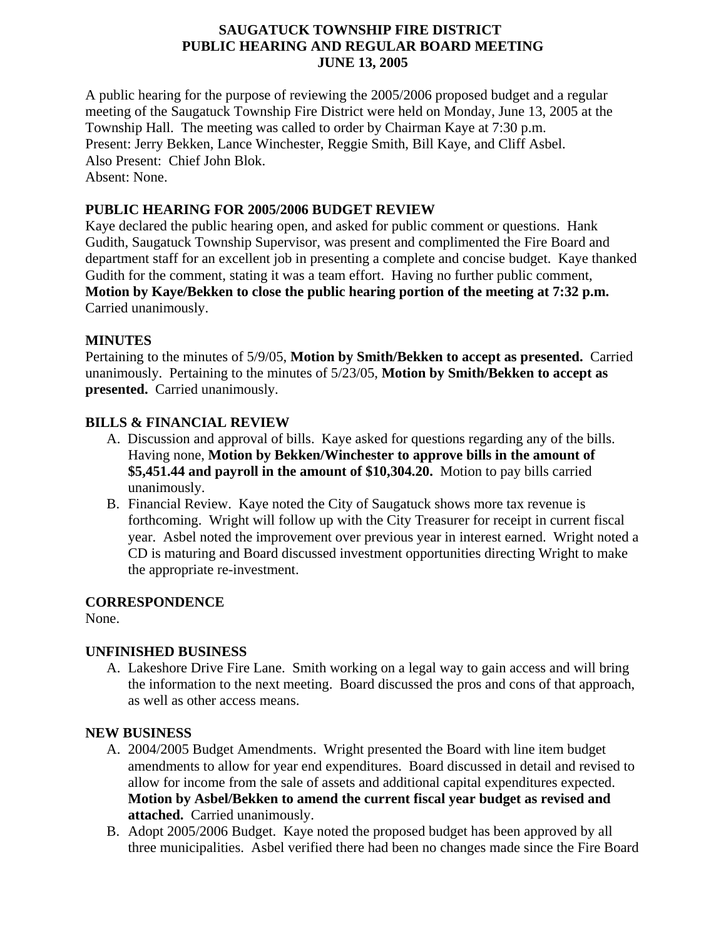### **SAUGATUCK TOWNSHIP FIRE DISTRICT PUBLIC HEARING AND REGULAR BOARD MEETING JUNE 13, 2005**

A public hearing for the purpose of reviewing the 2005/2006 proposed budget and a regular meeting of the Saugatuck Township Fire District were held on Monday, June 13, 2005 at the Township Hall. The meeting was called to order by Chairman Kaye at 7:30 p.m. Present: Jerry Bekken, Lance Winchester, Reggie Smith, Bill Kaye, and Cliff Asbel. Also Present: Chief John Blok. Absent: None.

### **PUBLIC HEARING FOR 2005/2006 BUDGET REVIEW**

Kaye declared the public hearing open, and asked for public comment or questions. Hank Gudith, Saugatuck Township Supervisor, was present and complimented the Fire Board and department staff for an excellent job in presenting a complete and concise budget. Kaye thanked Gudith for the comment, stating it was a team effort. Having no further public comment, **Motion by Kaye/Bekken to close the public hearing portion of the meeting at 7:32 p.m.** Carried unanimously.

## **MINUTES**

Pertaining to the minutes of 5/9/05, **Motion by Smith/Bekken to accept as presented.** Carried unanimously. Pertaining to the minutes of 5/23/05, **Motion by Smith/Bekken to accept as presented.** Carried unanimously.

## **BILLS & FINANCIAL REVIEW**

- A. Discussion and approval of bills. Kaye asked for questions regarding any of the bills. Having none, **Motion by Bekken/Winchester to approve bills in the amount of \$5,451.44 and payroll in the amount of \$10,304.20.** Motion to pay bills carried unanimously.
- B. Financial Review. Kaye noted the City of Saugatuck shows more tax revenue is forthcoming. Wright will follow up with the City Treasurer for receipt in current fiscal year. Asbel noted the improvement over previous year in interest earned. Wright noted a CD is maturing and Board discussed investment opportunities directing Wright to make the appropriate re-investment.

### **CORRESPONDENCE**

None.

# **UNFINISHED BUSINESS**

A. Lakeshore Drive Fire Lane. Smith working on a legal way to gain access and will bring the information to the next meeting. Board discussed the pros and cons of that approach, as well as other access means.

### **NEW BUSINESS**

- A. 2004/2005 Budget Amendments. Wright presented the Board with line item budget amendments to allow for year end expenditures. Board discussed in detail and revised to allow for income from the sale of assets and additional capital expenditures expected. **Motion by Asbel/Bekken to amend the current fiscal year budget as revised and attached.** Carried unanimously.
- B. Adopt 2005/2006 Budget. Kaye noted the proposed budget has been approved by all three municipalities. Asbel verified there had been no changes made since the Fire Board